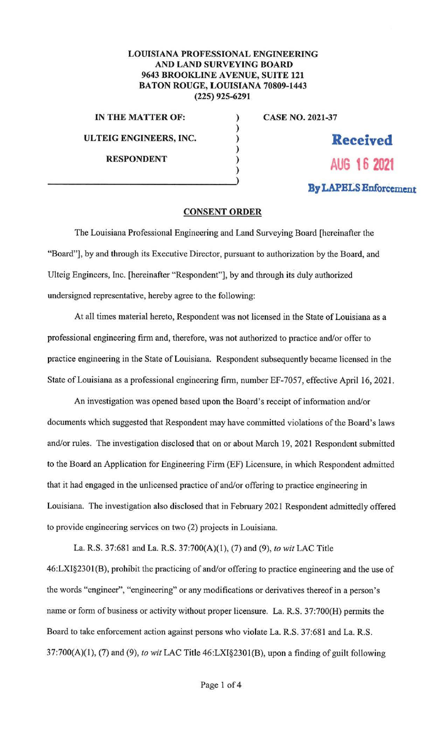## LOUISIANA PROFESSIONAL ENGINEERING AND LAND SURVEYING BOARD 9643 BROOKLINE AVENUE, SUITE 121 BATON ROUGE, LOUISIANA 70809-1443 (225) 925-6291

) ) ) ) )

IN THE MATTER OF: ULTEIG ENGINEERS, INC. RESPONDENT

CASE NO. 2021-37

**Received AUG 16 2021** 

## **By LAPELS Enforcement**

## **CONSENT ORDER**

The Louisiana Professional Engineering and Land Surveying Board [hereinafter the "Board"), by and through its Executive Director, pursuant to authorization by the Board, and Ulteig Engineers, Inc. [hereinafter "Respondent"], by and through its duly authorized undersigned representative, hereby agree to the following:

At all times material hereto, Respondent was not licensed in the State of Louisiana as a professional engineering firm and, therefore, was not authorized to practice and/or offer to practice engineering in the State of Louisiana. Respondent subsequently became licensed in the State of Louisiana as a professional engineering firm, number EF-7057, effective April 16, 2021.

An investigation was opened based upon the Board's receipt of information and/or documents which suggested that Respondent may have committed violations of the Board's laws and/or rules. The investigation disclosed that on or about March 19, 2021 Respondent submitted to the Board an Application for Engineering Finn (EF) Licensure, in which Respondent admitted that it had engaged in the unlicensed practice of and/or offering to practice engineering in Louisiana. The investigation also disclosed that in February 2021 Respondent admittedly offered to provide engineering services on two (2) projects in Louisiana.

La. R.S. 37:681 and La. R.S. 37:700(A)(l ), (7) and (9), *to wit* LAC Title 46:LXI§2301 (B), prohibit the practicing of and/or offering to practice engineering and the use of the words "engineer", "engineering" or any modifications or derivatives thereof in a person's name or form of business or activity without proper licensure. La. R.S. 37:700(H) pennits the Board to take enforcement action against persons who violate La. R.S. 37:681 and La. R.S. 37 :700(A)(l), (7) and (9), *to wit* LAC Title 46:LXI§2301 (B), upon a finding of guilt following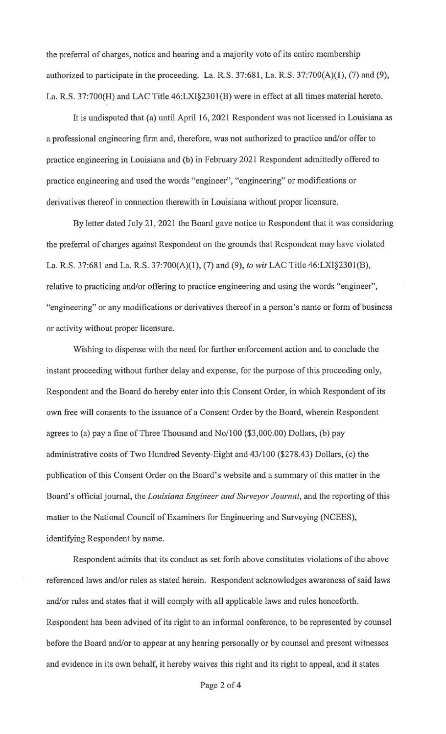the preferral of charges, notice and hearing and a majority vote of its entire membership authorized to participate in the proceeding. La. R.S. 37:681, La. R.S. 37:700(A)(l), (7) and (9), La. R.S. 37:700(H) and LAC Title 46:LX1§2301 (B) were in effect at all times material hereto.

It is undisputed that (a) until April 16, 2021 Respondent was not licensed in Louisiana as a professional engineering finn and, therefore, was not authorized to practice and/or offer to practice engineering in Louisiana and (b) in February 2021 Respondent admittedly offered to practice engineering and used the words "engineer", "engineering" or modifications or derivatives thereof in connection therewith in Louisiana without proper licensure.

By letter dated July 21, 2021 the Board gave notice to Respondent that it was considering the preferral of charges against Respondent on the grounds that Respondent may have violated La. R.S. 37:681 and La. R.S. 37:700(A)(l), (7) and (9), *to wit* LAC Title 46:LXI§230I(B), relative to practicing and/or offering to practice engineering and using the words "engineer", "engineering" or any modifications or derivatives thereof in a person's name or form of business or activity without proper licensure.

Wishing to dispense with the need for further enforcement action and to conclude the instant proceeding without further delay and expense, for the purpose of this proceeding only, Respondent and the Board do hereby enter into this Consent Order, in which Respondent of its own free will consents to the issuance of a Consent Order by the Board, wherein Respondent agrees to (a) pay a fine of Three Thousand and No/100 (\$3,000.00) Dollars, (b) pay administrative costs of Two Hundred Seventy-Eight and 43/100 (\$278.43) Dollars, (c) the publication of this Consent Order on the Board's website and a summary of this matter in the Board's official joumal, the *Louisiana Engineer and Surveyor Journal,* and the reporting of this matter to the National Council of Examiners for Engineering and Surveying (NCEES), identifying Respondent by name.

Respondent admits that its conduct as set forth above constitutes violations of the above referenced laws and/or rnles as stated herein. Respondent acknowledges awareness of said laws and/or rnles and states that it will comply with all applicable laws and rnles henceforth. Respondent has been advised of its right to an informal conference, to be represented by counsel before the Board and/or to appear at any hearing personally or by counsel and present witnesses and evidence in its own behalf, it hereby waives this right and its right to appeal, and it states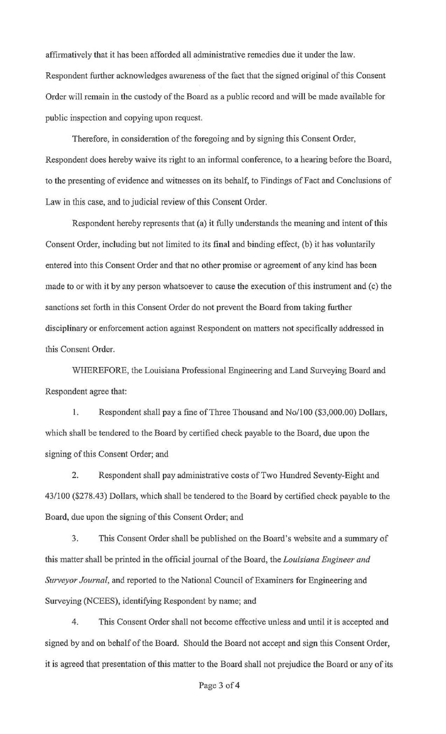affirmatively that it has been afforded all administrative remedies due it under the law. Respondent further acknowledges awareness of the fact that the signed original of this Consent Order will remain in the custody of the Board as a public record and will be made available for public inspection and copying upon request.

Therefore, in consideration of the foregoing and by signing this Consent Order, Respondent does hereby waive its right to an informal conference, to a hearing before the Board, to the presenting of evidence and witnesses on its behalf, to Findings of Fact and Conclusions of Law in this case, and to judicial review of this Consent Order.

Respondent hereby represents that (a) it fully understands the meaning and intent of this Consent Order, including but not limited to its final and binding effect, (b) it has voluntarily entered into this Consent Order and that no other promise or agreement of any kind has been made to or with it by any person whatsoever to cause the execution of this instrument and (c) the sanctions set forth in this Consent Order do not prevent the Board from taking further disciplinary or enforcement action against Respondent on matters not specifically addressed in this Consent Order.

WHEREFORE, the Louisiana Professional Engineering and Land Surveying Board and Respondent agree that:

1. Respondent shall pay a fine of Three Thousand and No/100 (\$3,000.00) Dollars, which shall be tendered to the Board by certified check payable to the Board, due upon the signing of this Consent Order; and

2. Respondent shall pay administrative costs of Two Hundred Seventy-Eight and 43/100 (\$278.43) Dollars, which shall be tendered to the Board by certified check payable to the Board, due upon the signing of this Consent Order; and

3. This Consent Order shall be published on the Board's website and a summary of this matter shall be printed in the official journal of the Board, the *Louisiana Engineer and Surveyor Journal,* and reported to the National Council of Examiners for Engineering and Surveying (NCEES), identifying Respondent by name; and

4. This Consent Order shall not become effective unless and until it is accepted and signed by and on behalf of the Board. Should the Board not accept and sign this Consent Order, it is agreed that presentation of this matter to the Board shall not prejudice the Board or any of its